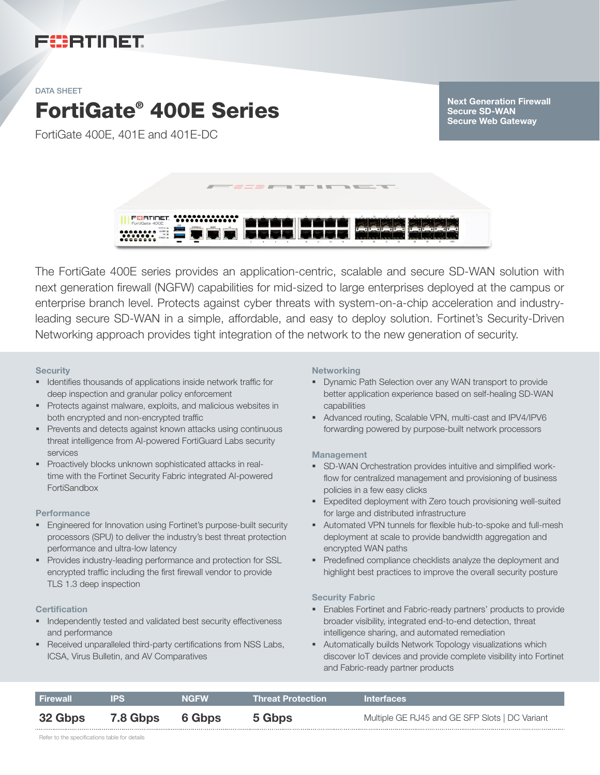# FURTINET

#### DATA SHEET

# FortiGate® 400E Series

FortiGate 400E, 401E and 401E-DC

Next Generation Firewall Secure SD-WAN Secure Web Gateway



The FortiGate 400E series provides an application-centric, scalable and secure SD-WAN solution with next generation firewall (NGFW) capabilities for mid-sized to large enterprises deployed at the campus or enterprise branch level. Protects against cyber threats with system-on-a-chip acceleration and industryleading secure SD-WAN in a simple, affordable, and easy to deploy solution. Fortinet's Security-Driven Networking approach provides tight integration of the network to the new generation of security.

#### **Security**

- § Identifies thousands of applications inside network traffic for deep inspection and granular policy enforcement
- § Protects against malware, exploits, and malicious websites in both encrypted and non-encrypted traffic
- Prevents and detects against known attacks using continuous threat intelligence from AI-powered FortiGuard Labs security services
- § Proactively blocks unknown sophisticated attacks in realtime with the Fortinet Security Fabric integrated AI-powered FortiSandbox

#### **Performance**

- **Engineered for Innovation using Fortinet's purpose-built security** processors (SPU) to deliver the industry's best threat protection performance and ultra-low latency
- Provides industry-leading performance and protection for SSL encrypted traffic including the first firewall vendor to provide TLS 1.3 deep inspection

#### **Certification**

- **■** Independently tested and validated best security effectiveness and performance
- Received unparalleled third-party certifications from NSS Labs, ICSA, Virus Bulletin, and AV Comparatives

#### **Networking**

- § Dynamic Path Selection over any WAN transport to provide better application experience based on self-healing SD-WAN capabilities
- § Advanced routing, Scalable VPN, multi-cast and IPV4/IPV6 forwarding powered by purpose-built network processors

#### **Management**

- **SD-WAN Orchestration provides intuitive and simplified work**flow for centralized management and provisioning of business policies in a few easy clicks
- **Expedited deployment with Zero touch provisioning well-suited** for large and distributed infrastructure
- § Automated VPN tunnels for flexible hub-to-spoke and full-mesh deployment at scale to provide bandwidth aggregation and encrypted WAN paths
- Predefined compliance checklists analyze the deployment and highlight best practices to improve the overall security posture

#### Security Fabric

- § Enables Fortinet and Fabric-ready partners' products to provide broader visibility, integrated end-to-end detection, threat intelligence sharing, and automated remediation
- **•** Automatically builds Network Topology visualizations which discover IoT devices and provide complete visibility into Fortinet and Fabric-ready partner products

| <b>Firewall</b> | IPS.            | <b>NGFW</b> | <b>Threat Protection</b> | <b>Interfaces</b>                              |
|-----------------|-----------------|-------------|--------------------------|------------------------------------------------|
| 32 Gbps         | <b>7.8 Gbps</b> | 6 Gbps      | 5 Gbps                   | Multiple GE RJ45 and GE SFP Slots   DC Variant |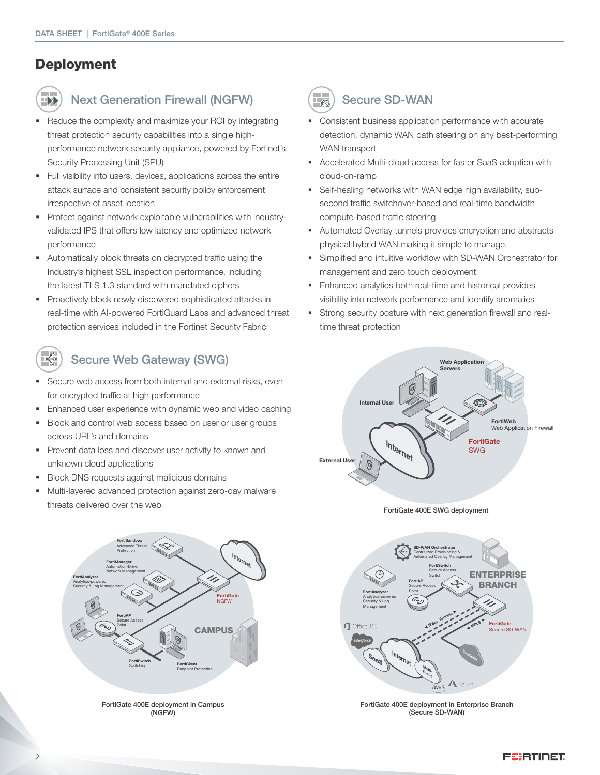# **Deployment**

# HX

 $\overrightarrow{F}$ 

## Next Generation Firewall (NGFW)

- Reduce the complexity and maximize your ROI by integrating threat protection security capabilities into a single highperformance network security appliance, powered by Fortinet's Security Processing Unit (SPU)
- § Full visibility into users, devices, applications across the entire attack surface and consistent security policy enforcement irrespective of asset location
- Protect against network exploitable vulnerabilities with industryvalidated IPS that offers low latency and optimized network performance
- Automatically block threats on decrypted traffic using the Industry's highest SSL inspection performance, including the latest TLS 1.3 standard with mandated ciphers
- § Proactively block newly discovered sophisticated attacks in real-time with AI-powered FortiGuard Labs and advanced threat protection services included in the Fortinet Security Fabric

# Secure Web Gateway (SWG)

- Secure web access from both internal and external risks, even for encrypted traffic at high performance
- **Enhanced user experience with dynamic web and video caching**
- § Block and control web access based on user or user groups across URL's and domains
- § Prevent data loss and discover user activity to known and unknown cloud applications
- **Block DNS requests against malicious domains**
- § Multi-layered advanced protection against zero-day malware threats delivered over the web



FortiGate 400E deployment in Campus (NGFW)



## $\left(\frac{1}{\sqrt{2}}\right)$  Secure SD-WAN

- § Consistent business application performance with accurate detection, dynamic WAN path steering on any best-performing WAN transport
- § Accelerated Multi-cloud access for faster SaaS adoption with cloud-on-ramp
- Self-healing networks with WAN edge high availability, subsecond traffic switchover-based and real-time bandwidth compute-based traffic steering
- § Automated Overlay tunnels provides encryption and abstracts physical hybrid WAN making it simple to manage.
- § Simplified and intuitive workflow with SD-WAN Orchestrator for management and zero touch deployment
- Enhanced analytics both real-time and historical provides visibility into network performance and identify anomalies
- Strong security posture with next generation firewall and realtime threat protection



FortiGate 400E SWG deployment



FortiGate 400E deployment in Enterprise Branch (Secure SD-WAN)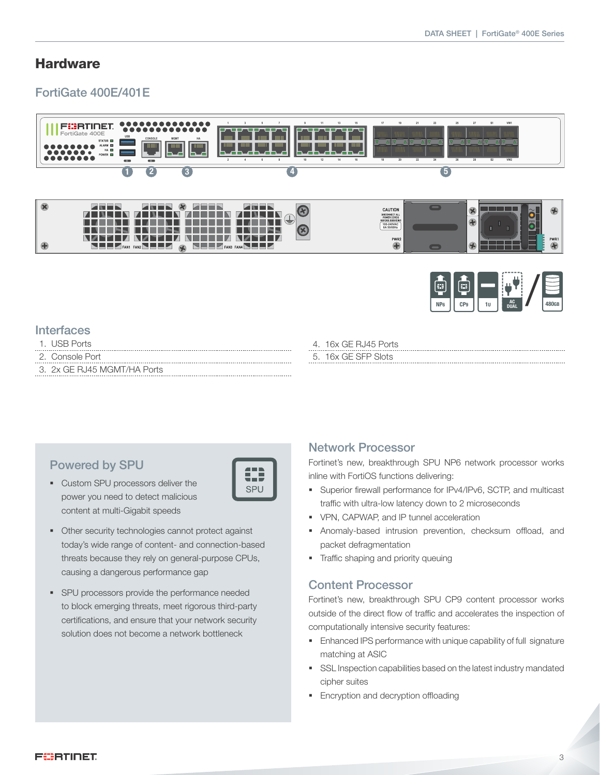## **Hardware**

## FortiGate 400E/401E





## **Interfaces**

- 1. USB Ports
- 2. Console Port
- 3. 2x GE RJ45 MGMT/HA Ports

4. 16x GE RJ45 Ports 5. 16x GE SFP Slots

## Powered by SPU

- § Custom SPU processors deliver the power you need to detect malicious content at multi-Gigabit speeds
	- SPU
- § Other security technologies cannot protect against today's wide range of content- and connection-based threats because they rely on general-purpose CPUs, causing a dangerous performance gap
- **•** SPU processors provide the performance needed to block emerging threats, meet rigorous third-party certifications, and ensure that your network security solution does not become a network bottleneck

## Network Processor

Fortinet's new, breakthrough SPU NP6 network processor works inline with FortiOS functions delivering:

- § Superior firewall performance for IPv4/IPv6, SCTP, and multicast traffic with ultra-low latency down to 2 microseconds
- § VPN, CAPWAP, and IP tunnel acceleration
- § Anomaly-based intrusion prevention, checksum offload, and packet defragmentation
- § Traffic shaping and priority queuing

#### Content Processor

Fortinet's new, breakthrough SPU CP9 content processor works outside of the direct flow of traffic and accelerates the inspection of computationally intensive security features:

- **Enhanced IPS performance with unique capability of full signature** matching at ASIC
- **SSL Inspection capabilities based on the latest industry mandated** cipher suites
- Encryption and decryption offloading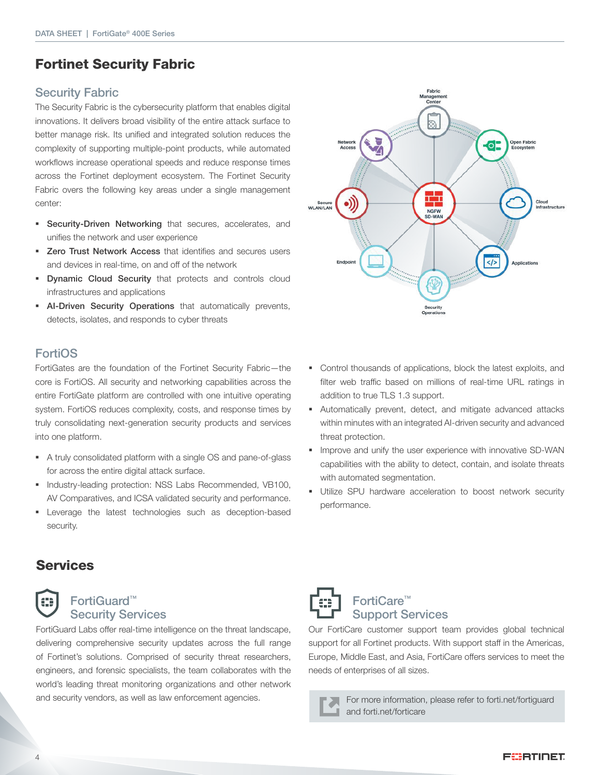## Fortinet Security Fabric

#### Security Fabric

The Security Fabric is the cybersecurity platform that enables digital innovations. It delivers broad visibility of the entire attack surface to better manage risk. Its unified and integrated solution reduces the complexity of supporting multiple-point products, while automated workflows increase operational speeds and reduce response times across the Fortinet deployment ecosystem. The Fortinet Security Fabric overs the following key areas under a single management center:

- **Security-Driven Networking** that secures, accelerates, and unifies the network and user experience
- Zero Trust Network Access that identifies and secures users and devices in real-time, on and off of the network
- **Dynamic Cloud Security** that protects and controls cloud infrastructures and applications
- **AI-Driven Security Operations** that automatically prevents, detects, isolates, and responds to cyber threats

### FortiOS

FortiGates are the foundation of the Fortinet Security Fabric—the core is FortiOS. All security and networking capabilities across the entire FortiGate platform are controlled with one intuitive operating system. FortiOS reduces complexity, costs, and response times by truly consolidating next-generation security products and services into one platform.

- § A truly consolidated platform with a single OS and pane-of-glass for across the entire digital attack surface.
- § Industry-leading protection: NSS Labs Recommended, VB100, AV Comparatives, and ICSA validated security and performance.
- § Leverage the latest technologies such as deception-based security.



- Control thousands of applications, block the latest exploits, and filter web traffic based on millions of real-time URL ratings in addition to true TLS 1.3 support.
- § Automatically prevent, detect, and mitigate advanced attacks within minutes with an integrated AI-driven security and advanced threat protection.
- **■** Improve and unify the user experience with innovative SD-WAN capabilities with the ability to detect, contain, and isolate threats with automated segmentation.
- § Utilize SPU hardware acceleration to boost network security performance.

## **Services**



### FortiGuard™ Security Services

FortiGuard Labs offer real-time intelligence on the threat landscape, delivering comprehensive security updates across the full range of Fortinet's solutions. Comprised of security threat researchers, engineers, and forensic specialists, the team collaborates with the world's leading threat monitoring organizations and other network and security vendors, as well as law enforcement agencies. For more information, please refer to forti.net/fortiguard



## FortiCare™ Support Services

Our FortiCare customer support team provides global technical support for all Fortinet products. With support staff in the Americas, Europe, Middle East, and Asia, FortiCare offers services to meet the needs of enterprises of all sizes.

and forti.net/forticare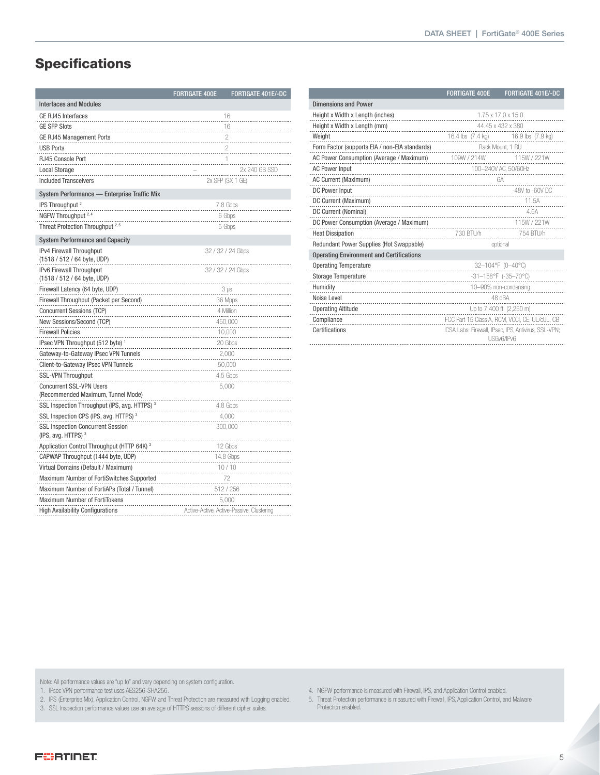# **Specifications**

|                                                                       | <b>FORTIGATE 400E</b> | FORTIGATE 401E/-DC                        |  |  |  |
|-----------------------------------------------------------------------|-----------------------|-------------------------------------------|--|--|--|
| <b>Interfaces and Modules</b>                                         |                       |                                           |  |  |  |
| GE RJ45 Interfaces                                                    |                       | 16                                        |  |  |  |
| <b>GE SFP Slots</b>                                                   |                       | 16                                        |  |  |  |
| <b>GE RJ45 Management Ports</b>                                       | $\overline{c}$        |                                           |  |  |  |
| <b>USB Ports</b>                                                      | 2                     |                                           |  |  |  |
| RJ45 Console Port                                                     |                       | 1                                         |  |  |  |
| <b>Local Storage</b>                                                  |                       | 2x 240 GB SSD                             |  |  |  |
| <b>Included Transceivers</b>                                          |                       | 2x SFP (SX 1 GE)                          |  |  |  |
| System Performance - Enterprise Traffic Mix                           |                       |                                           |  |  |  |
| IPS Throughput <sup>2</sup>                                           |                       | 7.8 Gbps                                  |  |  |  |
| NGFW Throughput <sup>2, 4</sup>                                       |                       | 6 Gbps                                    |  |  |  |
| Threat Protection Throughput <sup>2,5</sup>                           |                       | 5 Gbps                                    |  |  |  |
| <b>System Performance and Capacity</b>                                |                       |                                           |  |  |  |
| IPv4 Firewall Throughput                                              |                       | 32 / 32 / 24 Gbps                         |  |  |  |
| (1518 / 512 / 64 byte, UDP)                                           |                       |                                           |  |  |  |
| IPv6 Firewall Throughput                                              |                       | 32 / 32 / 24 Gbps                         |  |  |  |
| (1518 / 512 / 64 byte, UDP)                                           |                       |                                           |  |  |  |
| Firewall Latency (64 byte, UDP)                                       |                       | $3 \mu s$                                 |  |  |  |
| Firewall Throughput (Packet per Second)                               |                       | 36 Mpps                                   |  |  |  |
| Concurrent Sessions (TCP)                                             |                       | 4 Million                                 |  |  |  |
| New Sessions/Second (TCP)                                             |                       | 450,000                                   |  |  |  |
| <b>Firewall Policies</b>                                              |                       | 10,000                                    |  |  |  |
| IPsec VPN Throughput (512 byte) <sup>1</sup>                          |                       | 20 Gbps                                   |  |  |  |
| Gateway-to-Gateway IPsec VPN Tunnels                                  |                       | 2,000                                     |  |  |  |
| Client-to-Gateway IPsec VPN Tunnels                                   |                       | 50,000                                    |  |  |  |
| <b>SSL-VPN Throughput</b>                                             |                       | 4.5 Gbps                                  |  |  |  |
| <b>Concurrent SSL-VPN Users</b><br>(Recommended Maximum, Tunnel Mode) |                       | 5,000                                     |  |  |  |
| SSL Inspection Throughput (IPS, avg. HTTPS) <sup>3</sup>              |                       | 4.8 Gbps                                  |  |  |  |
| SSL Inspection CPS (IPS, avg. HTTPS) <sup>3</sup>                     |                       | 4,000                                     |  |  |  |
| <b>SSL Inspection Concurrent Session</b>                              |                       | 300,000                                   |  |  |  |
| (IPS, avg. HTTPS) <sup>3</sup>                                        |                       |                                           |  |  |  |
| Application Control Throughput (HTTP 64K) <sup>2</sup>                |                       | 12 Gbps                                   |  |  |  |
| CAPWAP Throughput (1444 byte, UDP)                                    |                       | 14.8 Gbps                                 |  |  |  |
| Virtual Domains (Default / Maximum)                                   |                       | 10/10                                     |  |  |  |
| Maximum Number of FortiSwitches Supported                             |                       | 72                                        |  |  |  |
| Maximum Number of FortiAPs (Total / Tunnel)                           |                       | 512 / 256                                 |  |  |  |
| Maximum Number of FortiTokens                                         |                       | 5,000                                     |  |  |  |
| <b>High Availability Configurations</b>                               |                       | Active-Active, Active-Passive, Clustering |  |  |  |
|                                                                       |                       |                                           |  |  |  |

|                                                      | <b>FORTIGATE 400E</b>                          | FORTIGATE 401E/-DC                                                 |  |  |
|------------------------------------------------------|------------------------------------------------|--------------------------------------------------------------------|--|--|
| <b>Dimensions and Power</b>                          |                                                |                                                                    |  |  |
| Height x Width x Length (inches)                     |                                                | 1.75 x 17.0 x 15.0                                                 |  |  |
| Height x Width x Length (mm)<br>.                    | 44.45 x 432 x 380                              |                                                                    |  |  |
| Weight                                               | 16.4 lbs (7.4 kg)                              | 16.9 lbs (7.9 kg)                                                  |  |  |
| Form Factor (supports EIA / non-EIA standards)       | Rack Mount, 1 RU                               |                                                                    |  |  |
| AC Power Consumption (Average / Maximum) 109W / 214W |                                                | 115W / 221W                                                        |  |  |
| <b>AC Power Input</b>                                | 100-240V AC, 50/60Hz                           |                                                                    |  |  |
| AC Current (Maximum)                                 |                                                | 6A                                                                 |  |  |
| DC Power Input                                       |                                                | $-48V$ to $-60V$ DC                                                |  |  |
| DC Current (Maximum)                                 |                                                | 11.5A                                                              |  |  |
| DC Current (Nominal)                                 |                                                | 4.6A                                                               |  |  |
| DC Power Consumption (Average / Maximum)             |                                                | 115W / 221W                                                        |  |  |
| <b>Heat Dissipation</b>                              | 730 BTU/h                                      | 754 BTU/h                                                          |  |  |
| Redundant Power Supplies (Hot Swappable)             | optional                                       |                                                                    |  |  |
| <b>Operating Environment and Certifications</b>      |                                                |                                                                    |  |  |
| <b>Operating Temperature</b>                         |                                                | 32-104°F (0-40°C)                                                  |  |  |
| <b>Storage Temperature</b>                           | $-31-158$ °F (-35-70°C)                        |                                                                    |  |  |
| Humidity                                             | 10-90% non-condensing                          |                                                                    |  |  |
| Noise Level                                          | 48 dBA                                         |                                                                    |  |  |
| <b>Operating Altitude</b>                            | Up to 7,400 ft (2,250 m)                       |                                                                    |  |  |
| Compliance                                           | FCC Part 15 Class A, RCM, VCCI, CE, UL/cUL, CB |                                                                    |  |  |
| Certifications                                       |                                                | ICSA Labs: Firewall, IPsec, IPS, Antivirus, SSL-VPN;<br>USGv6/IPv6 |  |  |
|                                                      |                                                |                                                                    |  |  |

Note: All performance values are "up to" and vary depending on system configuration.

1. IPsec VPN performance test uses AES256-SHA256.

2. IPS (Enterprise Mix), Application Control, NGFW, and Threat Protection are measured with Logging enabled.

3. SSL Inspection performance values use an average of HTTPS sessions of different cipher suites.

- 4. NGFW performance is measured with Firewall, IPS, and Application Control enabled.
- 5. Threat Protection performance is measured with Firewall, IPS, Application Control, and Malware Protection enabled.